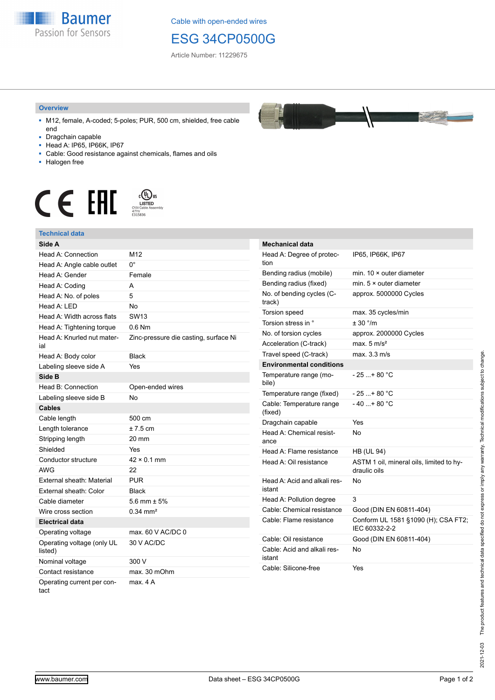

Cable with open-ended wires

## ESG 34CP0500G

Article Number: 11229675

## **Overview**

- M12, female, A-coded; 5-poles; PUR, 500 cm, shielded, free cable end
- Dragchain capable
- Head A: IP65, IP66K, IP67
- Cable: Good resistance against chemicals, flames and oils
- Halogen free



## **Technical data**

| Side A                                |                                       |
|---------------------------------------|---------------------------------------|
| Head A: Connection                    | M12                                   |
| Head A: Angle cable outlet            | $0^{\circ}$                           |
| Head A: Gender                        | Female                                |
| Head A: Coding                        | A                                     |
| Head A: No. of poles                  | 5                                     |
| Head A: LED                           | <b>No</b>                             |
| Head A: Width across flats            | <b>SW13</b>                           |
| Head A: Tightening torque             | $0.6$ Nm                              |
| Head A: Knurled nut mater-<br>ial     | Zinc-pressure die casting, surface Ni |
| Head A: Body color                    | <b>Black</b>                          |
| Labeling sleeve side A                | Yes                                   |
| Side B                                |                                       |
| Head B: Connection                    | Open-ended wires                      |
| Labeling sleeve side B                | <b>No</b>                             |
| <b>Cables</b>                         |                                       |
| Cable length                          | 500 cm                                |
| Length tolerance                      | $±7.5$ cm                             |
| Stripping length                      | 20 mm                                 |
| Shielded                              | Yes                                   |
| Conductor structure                   | $42 \times 0.1$ mm                    |
| <b>AWG</b>                            | 22                                    |
| External sheath: Material             | <b>PUR</b>                            |
| External sheath: Color                | <b>Black</b>                          |
| Cable diameter                        | 5.6 mm $\pm$ 5%                       |
| Wire cross section                    | $0.34 \, \text{mm}^2$                 |
| <b>Electrical data</b>                |                                       |
| Operating voltage                     | max. $60$ V AC/DC 0                   |
| Operating voltage (only UL<br>listed) | 30 V AC/DC                            |
| Nominal voltage                       | 300 V                                 |
| Contact resistance                    | max. 30 mOhm                          |
| Operating current per con-<br>tact    | max. 4 A                              |

| <b>Mechanical data</b>                 |                                                          |
|----------------------------------------|----------------------------------------------------------|
| Head A: Degree of protec-<br>tion      | IP65, IP66K, IP67                                        |
| Bending radius (mobile)                | min. $10 \times$ outer diameter                          |
| Bending radius (fixed)                 | min. $5 \times$ outer diameter                           |
| No. of bending cycles (C-<br>track)    | approx. 5000000 Cycles                                   |
| Torsion speed                          | max. 35 cycles/min                                       |
| Torsion stress in °                    | ± 30 °/m                                                 |
| No. of torsion cycles                  | approx. 2000000 Cycles                                   |
| Acceleration (C-track)                 | max. $5 \text{ m/s}^2$                                   |
| Travel speed (C-track)                 | max. 3.3 m/s                                             |
| <b>Environmental conditions</b>        |                                                          |
| Temperature range (mo-<br>bile)        | - 25 + 80 °C                                             |
| Temperature range (fixed)              | $-25+80 °C$                                              |
| Cable: Temperature range<br>(fixed)    | $-40+80 °C$                                              |
| Dragchain capable                      | Yes                                                      |
| Head A: Chemical resist-<br>ance       | No                                                       |
| Head A: Flame resistance               | <b>HB (UL 94)</b>                                        |
| Head A: Oil resistance                 | ASTM 1 oil, mineral oils, limited to hy-<br>draulic oils |
| Head A: Acid and alkali res-<br>istant | No                                                       |
| Head A: Pollution degree               | 3                                                        |
| Cable: Chemical resistance             | Good (DIN EN 60811-404)                                  |
| Cable: Flame resistance                | Conform UL 1581 §1090 (H); CSA FT2;<br>IEC 60332-2-2     |
| Cable: Oil resistance                  | Good (DIN EN 60811-404)                                  |
| Cable: Acid and alkali res-<br>istant  | No                                                       |
| Cable: Silicone-free                   | Yes                                                      |